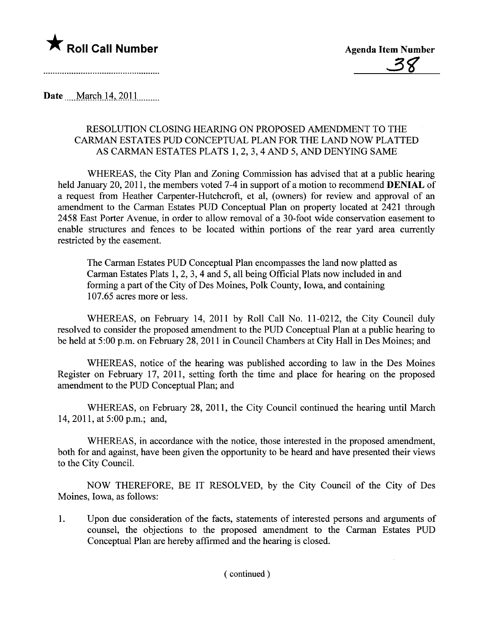

Date \_\_\_\_March 14, 2011..........

## RESOLUTION CLOSING HEARIG ON PROPOSED AMENDMENT TO THE CARMAN ESTATES PUD CONCEPTUAL PLAN FOR THE LAND NOW PLATTED AS CARMAN ESTATES PLATS 1, 2, 3, 4 AND 5, AND DENYING SAME

WHEREAS, the City Plan and Zoning Commission has advised that at a public hearing held January 20, 2011, the members voted 7-4 in support of a motion to recommend **DENIAL** of a request from Heather Carpenter-Hutchcroft, et al, (owners) for review and approval of an amendment to the Carman Estates PUD Conceptual Plan on property located at 2421 through 2458 East Porter Avenue, in order to allow removal of a 30-foot wide conservation easement to enable structures and fences to be located within portions of the rear yard area currently restricted by the easement.

The Carman Estates PUD Conceptual Plan encompasses the land now platted as Carman Estates Plats 1, 2, 3, 4 and 5, all being Official Plats now included in and forming a part of the City of Des Moines, Polk County, Iowa, and containing 107.65 acres more or less.

WHEREAS, on February 14, 2011 by Roll Call No. 11-0212, the City Council duly resolved to consider the proposed amendment to the PUD Conceptual Plan at a public hearing to be held at 5:00 p.m. on February 28,2011 in Council Chambers at City Hall in Des Moines; and

WHEREAS, notice of the hearing was published according to law in the Des Moines Register on February 17, 2011, setting forth the time and place for hearing on the proposed amendment to the PUD Conceptual Plan; and

WHEREAS, on February 28, 2011, the City Council continued the hearing until March 14,2011, at 5:00 p.m.; and,

WHEREAS, in accordance with the notice, those interested in the proposed amendment, both for and against, have been given the opportunity to be heard and have presented their views to the City CounciL.

NOW THEREFORE, BE IT RESOLVED, by the City Council of the City of Des Moines, Iowa, as follows:

1. Upon due consideration of the facts, statements of interested persons and arguments of counsel, the objections to the proposed amendment to the Carman Estates PUD Conceptual Plan are hereby affirmed and the hearing is closed.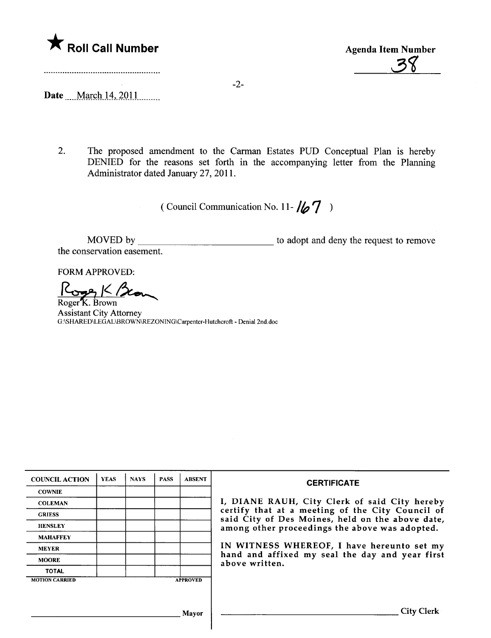

A Roll Call Number<br>
Agenda Item Number<br>
38

-2-

Date .... March 14, 2011..........

2. The proposed amendment to the Carman Estates PUD Conceptual Plan is hereby DENIED for the reasons set forth in the accompanying letter from the Planing Administrator dated January 27,2011.

( Council Communication No. 11- $\sqrt{2}$  )

MOVED by \_\_\_\_\_\_\_\_\_\_\_\_\_\_\_\_\_\_\_\_\_\_\_\_\_\_\_\_\_\_\_\_ to adopt and deny the request to remove the conservation easement.

FORM APPROVED:

 $rac{R_{\text{cusp}}}{R_{\text{oger K. Brown}}}$ 

Assistant City Attorney G:\SHARED\LEGAL\BROWN\REZONING\Carpenter-Hutchcroft - Denial 2nd.doc

| <b>COUNCIL ACTION</b> | <b>YEAS</b> | <b>NAYS</b> | <b>PASS</b> | <b>ABSENT</b>   | <b>CERTIFICATE</b>                                                                                                                                                                                                                                                                                                         |
|-----------------------|-------------|-------------|-------------|-----------------|----------------------------------------------------------------------------------------------------------------------------------------------------------------------------------------------------------------------------------------------------------------------------------------------------------------------------|
| <b>COWNIE</b>         |             |             |             |                 | I, DIANE RAUH, City Clerk of said City hereby<br>certify that at a meeting of the City Council of<br>said City of Des Moines, held on the above date,<br>among other proceedings the above was adopted.<br>IN WITNESS WHEREOF, I have hereunto set my<br>hand and affixed my seal the day and year first<br>above written. |
| <b>COLEMAN</b>        |             |             |             |                 |                                                                                                                                                                                                                                                                                                                            |
| <b>GRIESS</b>         |             |             |             |                 |                                                                                                                                                                                                                                                                                                                            |
| <b>HENSLEY</b>        |             |             |             |                 |                                                                                                                                                                                                                                                                                                                            |
| <b>MAHAFFEY</b>       |             |             |             |                 |                                                                                                                                                                                                                                                                                                                            |
| <b>MEYER</b>          |             |             |             |                 |                                                                                                                                                                                                                                                                                                                            |
| <b>MOORE</b>          |             |             |             |                 |                                                                                                                                                                                                                                                                                                                            |
| <b>TOTAL</b>          |             |             |             |                 |                                                                                                                                                                                                                                                                                                                            |
| <b>MOTION CARRIED</b> |             |             |             | <b>APPROVED</b> |                                                                                                                                                                                                                                                                                                                            |
|                       |             |             |             |                 |                                                                                                                                                                                                                                                                                                                            |
|                       |             |             |             | Mayor           | <b>City Clerk</b>                                                                                                                                                                                                                                                                                                          |

 $\overline{\phantom{a}}$